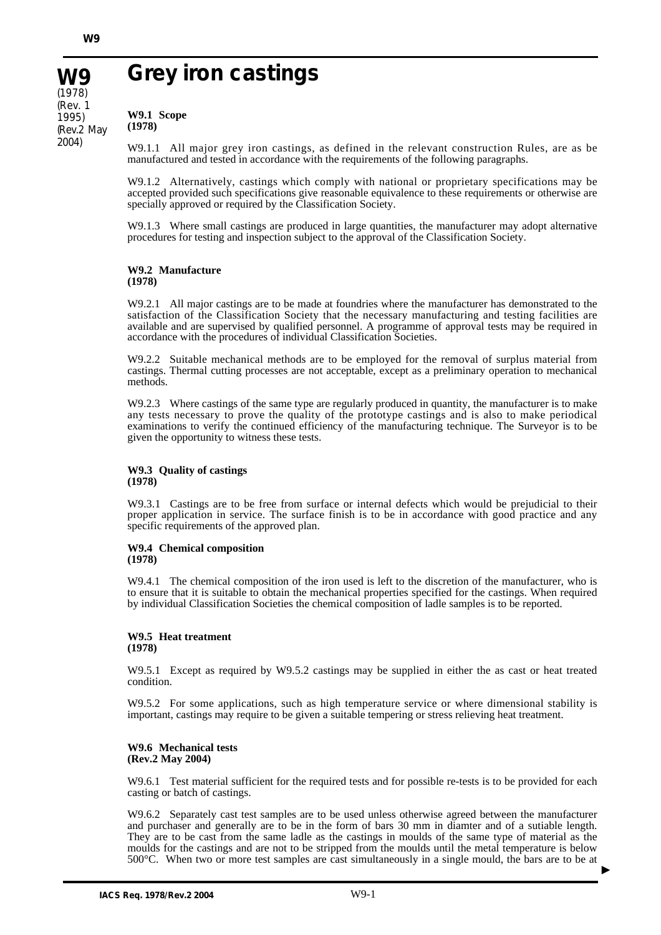**W9** (1978) (Rev. 1 1995) (Rev.2 May 2004)

# **Grey iron castings**

**W9.1 Scope (1978)**

W9.1.1 All major grey iron castings, as defined in the relevant construction Rules, are as be manufactured and tested in accordance with the requirements of the following paragraphs.

W9.1.2 Alternatively, castings which comply with national or proprietary specifications may be accepted provided such specifications give reasonable equivalence to these requirements or otherwise are specially approved or required by the Classification Society.

W9.1.3 Where small castings are produced in large quantities, the manufacturer may adopt alternative procedures for testing and inspection subject to the approval of the Classification Society.

# **W9.2 Manufacture (1978)**

W9.2.1 All major castings are to be made at foundries where the manufacturer has demonstrated to the satisfaction of the Classification Society that the necessary manufacturing and testing facilities are available and are supervised by qualified personnel. A programme of approval tests may be required in accordance with the procedures of individual Classification Societies.

W9.2.2 Suitable mechanical methods are to be employed for the removal of surplus material from castings. Thermal cutting processes are not acceptable, except as a preliminary operation to mechanical methods.

W9.2.3 Where castings of the same type are regularly produced in quantity, the manufacturer is to make any tests necessary to prove the quality of the prototype castings and is also to make periodical examinations to verify the continued efficiency of the manufacturing technique. The Surveyor is to be given the opportunity to witness these tests.

#### **W9.3 Quality of castings (1978)**

W9.3.1 Castings are to be free from surface or internal defects which would be prejudicial to their proper application in service. The surface finish is to be in accordance with good practice and any specific requirements of the approved plan.

#### **W9.4 Chemical composition (1978)**

W9.4.1 The chemical composition of the iron used is left to the discretion of the manufacturer, who is to ensure that it is suitable to obtain the mechanical properties specified for the castings. When required by individual Classification Societies the chemical composition of ladle samples is to be reported.

# **W9.5 Heat treatment (1978)**

W9.5.1 Except as required by W9.5.2 castings may be supplied in either the as cast or heat treated condition.

W9.5.2 For some applications, such as high temperature service or where dimensional stability is important, castings may require to be given a suitable tempering or stress relieving heat treatment.

## **W9.6 Mechanical tests (Rev.2 May 2004)**

W9.6.1 Test material sufficient for the required tests and for possible re-tests is to be provided for each casting or batch of castings.

W9.6.2 Separately cast test samples are to be used unless otherwise agreed between the manufacturer and purchaser and generally are to be in the form of bars 30 mm in diamter and of a sutiable length. They are to be cast from the same ladle as the castings in moulds of the same type of material as the moulds for the castings and are not to be stripped from the moulds until the metal temperature is below 500°C. When two or more test samples are cast simultaneously in a single mould, the bars are to be at

▲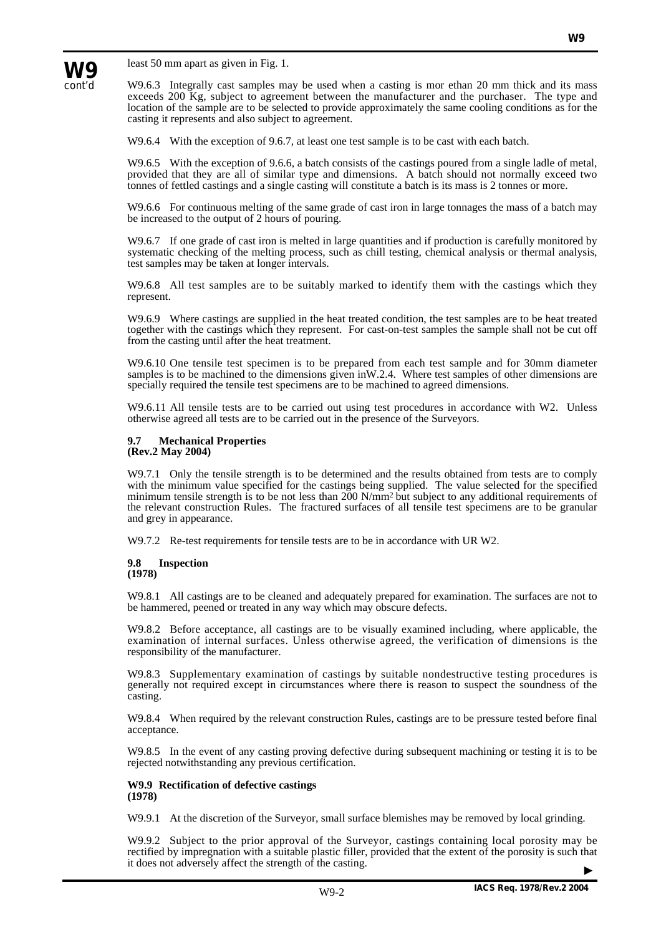

least 50 mm apart as given in Fig. 1.

W9.6.3 Integrally cast samples may be used when a casting is mor ethan 20 mm thick and its mass exceeds 200 Kg, subject to agreement between the manufacturer and the purchaser. The type and location of the sample are to be selected to provide approximately the same cooling conditions as for the casting it represents and also subject to agreement.

W9.6.4 With the exception of 9.6.7, at least one test sample is to be cast with each batch.

W9.6.5 With the exception of 9.6.6, a batch consists of the castings poured from a single ladle of metal, provided that they are all of similar type and dimensions. A batch should not normally exceed two tonnes of fettled castings and a single casting will constitute a batch is its mass is 2 tonnes or more.

W9.6.6 For continuous melting of the same grade of cast iron in large tonnages the mass of a batch may be increased to the output of 2 hours of pouring.

W9.6.7 If one grade of cast iron is melted in large quantities and if production is carefully monitored by systematic checking of the melting process, such as chill testing, chemical analysis or thermal analysis, test samples may be taken at longer intervals.

W9.6.8 All test samples are to be suitably marked to identify them with the castings which they represent.

W9.6.9 Where castings are supplied in the heat treated condition, the test samples are to be heat treated together with the castings which they represent. For cast-on-test samples the sample shall not be cut off from the casting until after the heat treatment.

W9.6.10 One tensile test specimen is to be prepared from each test sample and for 30mm diameter samples is to be machined to the dimensions given in W.2.4. Where test samples of other dimensions are specially required the tensile test specimens are to be machined to agreed dimensions.

W9.6.11 All tensile tests are to be carried out using test procedures in accordance with W2. Unless otherwise agreed all tests are to be carried out in the presence of the Surveyors.

#### **9.7 Mechanical Properties (Rev.2 May 2004)**

W9.7.1 Only the tensile strength is to be determined and the results obtained from tests are to comply with the minimum value specified for the castings being supplied. The value selected for the specified minimum tensile strength is to be not less than 200 N/mm<sup>2</sup> but subject to any additional requirements of the relevant construction Rules. The fractured surfaces of all tensile test specimens are to be granular and grey in appearance.

W9.7.2 Re-test requirements for tensile tests are to be in accordance with UR W2.

# **9.8 Inspection (1978)**

W9.8.1 All castings are to be cleaned and adequately prepared for examination. The surfaces are not to be hammered, peened or treated in any way which may obscure defects.

W9.8.2 Before acceptance, all castings are to be visually examined including, where applicable, the examination of internal surfaces. Unless otherwise agreed, the verification of dimensions is the responsibility of the manufacturer.

W9.8.3 Supplementary examination of castings by suitable nondestructive testing procedures is generally not required except in circumstances where there is reason to suspect the soundness of the casting.

W9.8.4 When required by the relevant construction Rules, castings are to be pressure tested before final acceptance.

W9.8.5 In the event of any casting proving defective during subsequent machining or testing it is to be rejected notwithstanding any previous certification.

## **W9.9 Rectification of defective castings (1978)**

W9.9.1 At the discretion of the Surveyor, small surface blemishes may be removed by local grinding.

W9.9.2 Subject to the prior approval of the Surveyor, castings containing local porosity may be rectified by impregnation with a suitable plastic filler, provided that the extent of the porosity is such that it does not adversely affect the strength of the casting. ▲